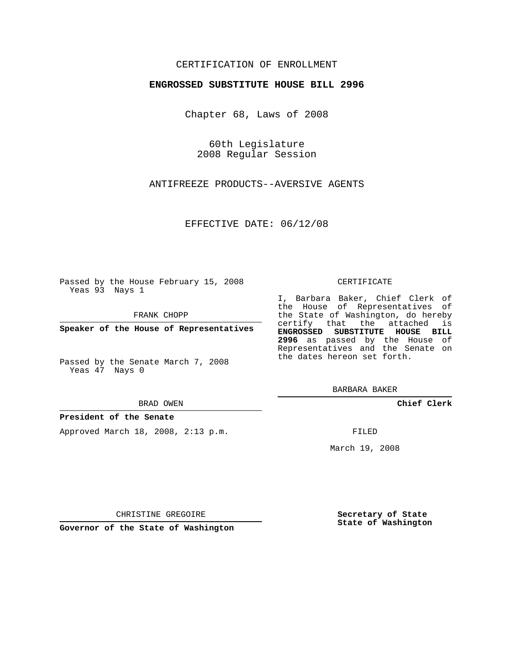## CERTIFICATION OF ENROLLMENT

### **ENGROSSED SUBSTITUTE HOUSE BILL 2996**

Chapter 68, Laws of 2008

60th Legislature 2008 Regular Session

ANTIFREEZE PRODUCTS--AVERSIVE AGENTS

EFFECTIVE DATE: 06/12/08

Passed by the House February 15, 2008 Yeas 93 Nays 1

FRANK CHOPP

**Speaker of the House of Representatives**

Passed by the Senate March 7, 2008 Yeas 47 Nays 0

#### BRAD OWEN

### **President of the Senate**

Approved March 18, 2008, 2:13 p.m.

#### CERTIFICATE

I, Barbara Baker, Chief Clerk of the House of Representatives of the State of Washington, do hereby certify that the attached is **ENGROSSED SUBSTITUTE HOUSE BILL 2996** as passed by the House of Representatives and the Senate on the dates hereon set forth.

BARBARA BAKER

**Chief Clerk**

FILED

March 19, 2008

CHRISTINE GREGOIRE

**Governor of the State of Washington**

**Secretary of State State of Washington**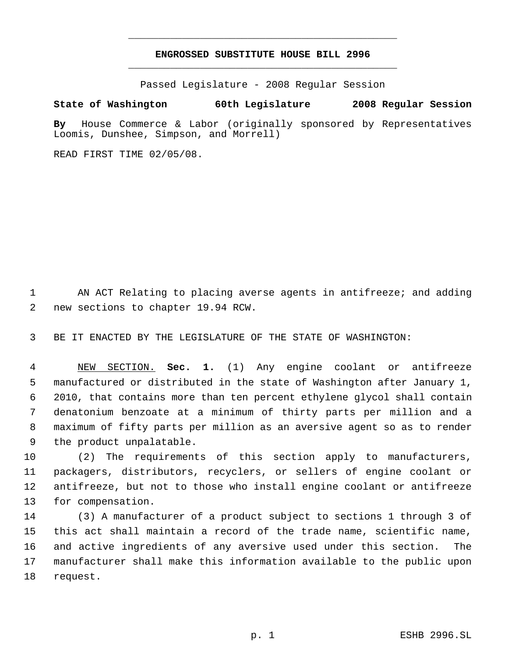# **ENGROSSED SUBSTITUTE HOUSE BILL 2996** \_\_\_\_\_\_\_\_\_\_\_\_\_\_\_\_\_\_\_\_\_\_\_\_\_\_\_\_\_\_\_\_\_\_\_\_\_\_\_\_\_\_\_\_\_

\_\_\_\_\_\_\_\_\_\_\_\_\_\_\_\_\_\_\_\_\_\_\_\_\_\_\_\_\_\_\_\_\_\_\_\_\_\_\_\_\_\_\_\_\_

Passed Legislature - 2008 Regular Session

## **State of Washington 60th Legislature 2008 Regular Session**

**By** House Commerce & Labor (originally sponsored by Representatives Loomis, Dunshee, Simpson, and Morrell)

READ FIRST TIME 02/05/08.

 AN ACT Relating to placing averse agents in antifreeze; and adding new sections to chapter 19.94 RCW.

BE IT ENACTED BY THE LEGISLATURE OF THE STATE OF WASHINGTON:

 NEW SECTION. **Sec. 1.** (1) Any engine coolant or antifreeze manufactured or distributed in the state of Washington after January 1, 2010, that contains more than ten percent ethylene glycol shall contain denatonium benzoate at a minimum of thirty parts per million and a maximum of fifty parts per million as an aversive agent so as to render the product unpalatable.

 (2) The requirements of this section apply to manufacturers, packagers, distributors, recyclers, or sellers of engine coolant or antifreeze, but not to those who install engine coolant or antifreeze for compensation.

 (3) A manufacturer of a product subject to sections 1 through 3 of this act shall maintain a record of the trade name, scientific name, and active ingredients of any aversive used under this section. The manufacturer shall make this information available to the public upon request.